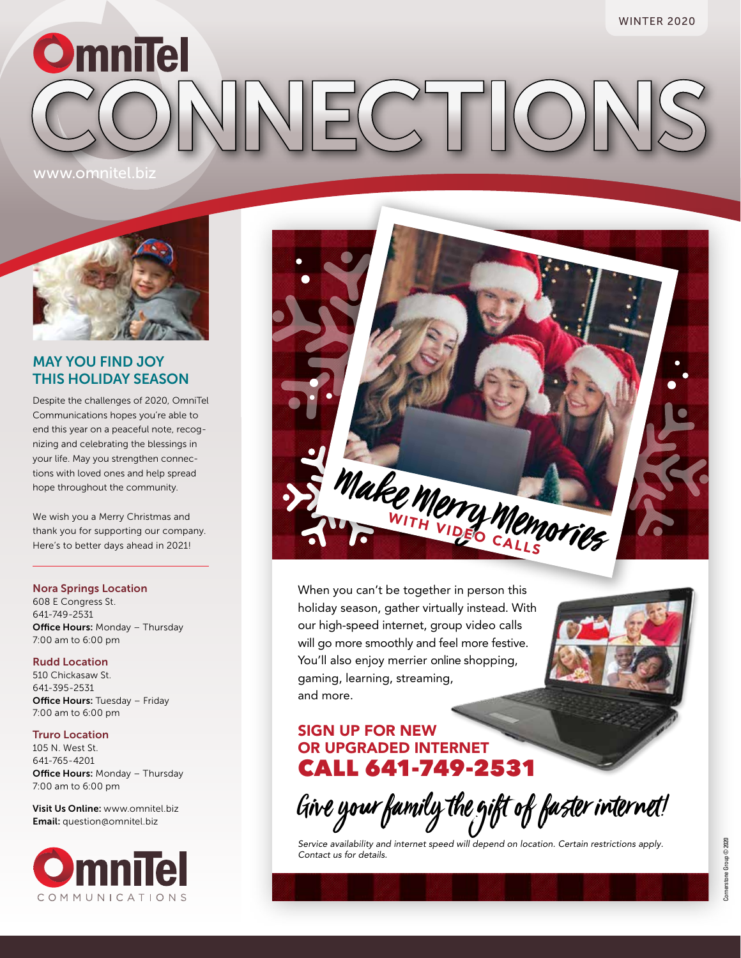# WINTER 2020 **OmniTel** ECONNON www.omnitel.biz



## MAY YOU FIND JOY THIS HOLIDAY SEASON

Despite the challenges of 2020, OmniTel Communications hopes you're able to end this year on a peaceful note, recognizing and celebrating the blessings in your life. May you strengthen connections with loved ones and help spread hope throughout the community.

We wish you a Merry Christmas and thank you for supporting our company. Here's to better days ahead in 2021!

#### Nora Springs Location

608 E Congress St. 641-749-2531 **Office Hours: Monday - Thursday** 7:00 am to 6:00 pm

#### Rudd Location

510 Chickasaw St. 641-395-2531 **Office Hours:** Tuesday - Friday 7:00 am to 6:00 pm

#### Truro Location

105 N. West St. 641-765-4201 **Office Hours: Monday - Thursday** 7:00 am to 6:00 pm

Visit Us Online: www.omnitel.biz Email: question@omnitel.biz





When you can't be together in person this holiday season, gather virtually instead. With our high-speed internet, group video calls will go more smoothly and feel more festive. You'll also enjoy merrier online shopping, gaming, learning, streaming, and more.

## SIGN UP FOR NEW OR UPGRADED INTERNET CALL 641-749-2531

Give your family the gift of faster internet!

*Service availability and internet speed will depend on location. Certain restrictions apply. Contact us for details.*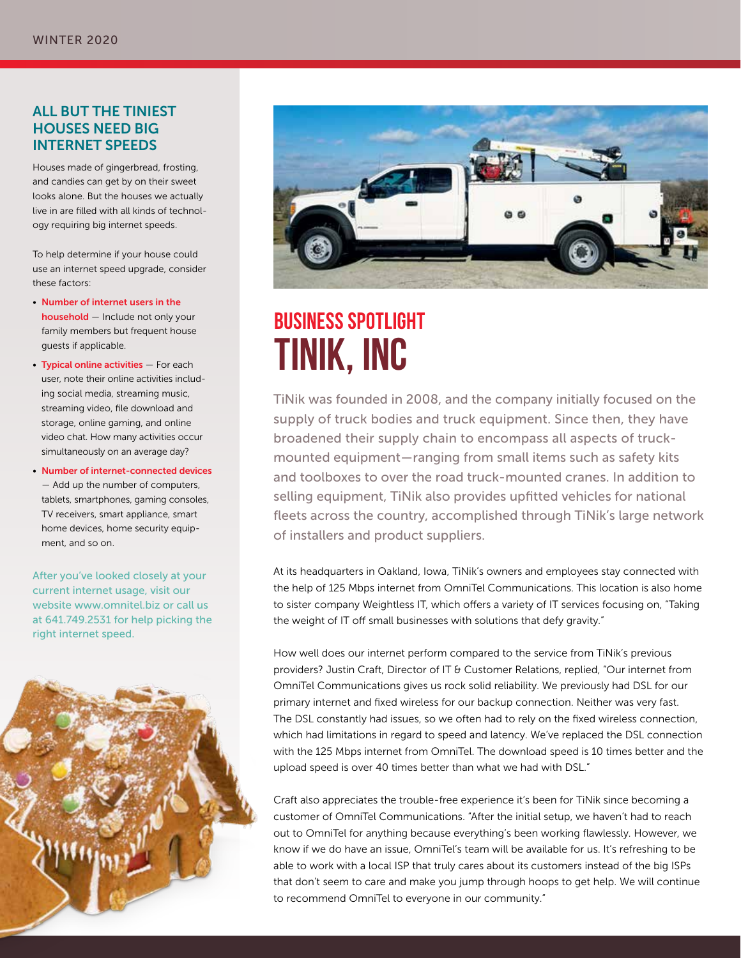### ALL BUT THE TINIEST HOUSES NEED BIG INTERNET SPEEDS

Houses made of gingerbread, frosting, and candies can get by on their sweet looks alone. But the houses we actually live in are filled with all kinds of technology requiring big internet speeds.

To help determine if your house could use an internet speed upgrade, consider these factors:

- Number of internet users in the household — Include not only your family members but frequent house guests if applicable.
- Typical online activities For each user, note their online activities including social media, streaming music, streaming video, file download and storage, online gaming, and online video chat. How many activities occur simultaneously on an average day?
- Number of internet-connected devices — Add up the number of computers, tablets, smartphones, gaming consoles, TV receivers, smart appliance, smart home devices, home security equipment, and so on.

After you've looked closely at your current internet usage, visit our website www.omnitel.biz or call us at 641.749.2531 for help picking the right internet speed.





## **BUSINESS SPOTLIGHT TINIK, INC**

TiNik was founded in 2008, and the company initially focused on the supply of truck bodies and truck equipment. Since then, they have broadened their supply chain to encompass all aspects of truckmounted equipment — ranging from small items such as safety kits and toolboxes to over the road truck-mounted cranes. In addition to selling equipment, TiNik also provides upfitted vehicles for national fleets across the country, accomplished through TiNik's large network of installers and product suppliers.

At its headquarters in Oakland, Iowa, TiNik's owners and employees stay connected with the help of 125 Mbps internet from OmniTel Communications. This location is also home to sister company Weightless IT, which offers a variety of IT services focusing on, "Taking the weight of IT off small businesses with solutions that defy gravity."

How well does our internet perform compared to the service from TiNik's previous providers? Justin Craft, Director of IT & Customer Relations, replied, "Our internet from OmniTel Communications gives us rock solid reliability. We previously had DSL for our primary internet and fixed wireless for our backup connection. Neither was very fast. The DSL constantly had issues, so we often had to rely on the fixed wireless connection, which had limitations in regard to speed and latency. We've replaced the DSL connection with the 125 Mbps internet from OmniTel. The download speed is 10 times better and the upload speed is over 40 times better than what we had with DSL."

Craft also appreciates the trouble-free experience it's been for TiNik since becoming a customer of OmniTel Communications. "After the initial setup, we haven't had to reach out to OmniTel for anything because everything's been working flawlessly. However, we know if we do have an issue, OmniTel's team will be available for us. It's refreshing to be able to work with a local ISP that truly cares about its customers instead of the big ISPs that don't seem to care and make you jump through hoops to get help. We will continue to recommend OmniTel to everyone in our community."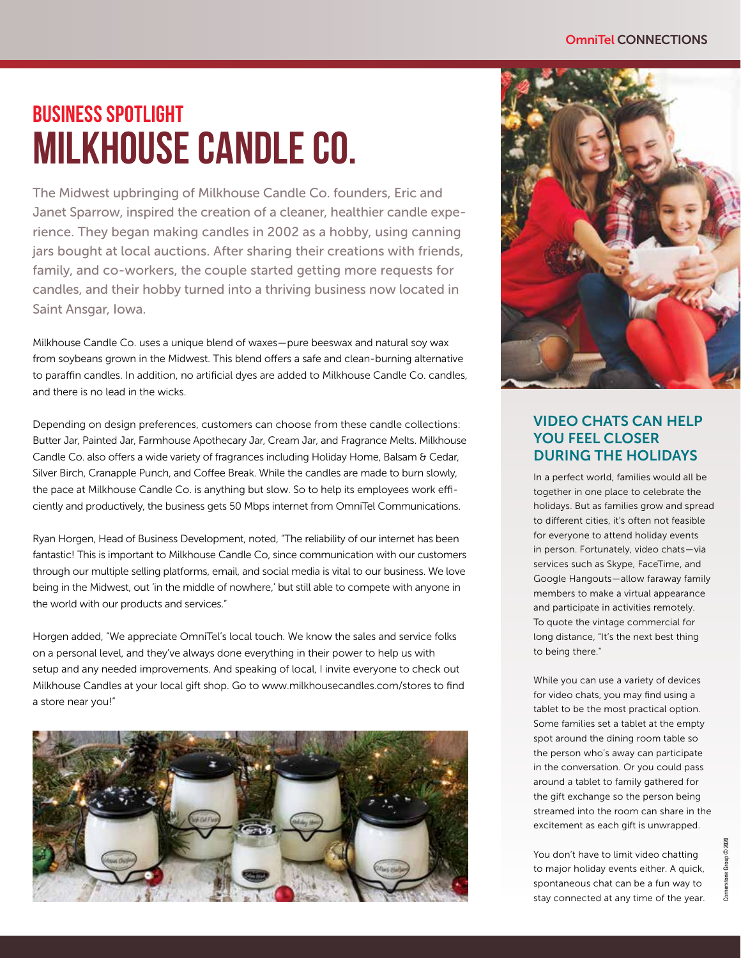#### OmniTel CONNECTIONS

## **BUSINESS SPOTLIGHT MILKHOUSE CANDLE CO.**

The Midwest upbringing of Milkhouse Candle Co. founders, Eric and Janet Sparrow, inspired the creation of a cleaner, healthier candle experience. They began making candles in 2002 as a hobby, using canning jars bought at local auctions. After sharing their creations with friends, family, and co-workers, the couple started getting more requests for candles, and their hobby turned into a thriving business now located in Saint Ansgar, Iowa.

Milkhouse Candle Co. uses a unique blend of waxes — pure beeswax and natural soy wax from soybeans grown in the Midwest. This blend offers a safe and clean-burning alternative to paraffin candles. In addition, no artificial dyes are added to Milkhouse Candle Co. candles, and there is no lead in the wicks.

Depending on design preferences, customers can choose from these candle collections: Butter Jar, Painted Jar, Farmhouse Apothecary Jar, Cream Jar, and Fragrance Melts. Milkhouse Candle Co. also offers a wide variety of fragrances including Holiday Home, Balsam & Cedar, Silver Birch, Cranapple Punch, and Coffee Break. While the candles are made to burn slowly, the pace at Milkhouse Candle Co. is anything but slow. So to help its employees work efficiently and productively, the business gets 50 Mbps internet from OmniTel Communications.

Ryan Horgen, Head of Business Development, noted, "The reliability of our internet has been fantastic! This is important to Milkhouse Candle Co, since communication with our customers through our multiple selling platforms, email, and social media is vital to our business. We love being in the Midwest, out 'in the middle of nowhere,' but still able to compete with anyone in the world with our products and services."

Horgen added, "We appreciate OmniTel's local touch. We know the sales and service folks on a personal level, and they've always done everything in their power to help us with setup and any needed improvements. And speaking of local, I invite everyone to check out Milkhouse Candles at your local gift shop. Go to www.milkhousecandles.com/stores to find a store near you!"





## VIDEO CHATS CAN HELP YOU FEEL CLOSER DURING THE HOLIDAYS

In a perfect world, families would all be together in one place to celebrate the holidays. But as families grow and spread to different cities, it's often not feasible for everyone to attend holiday events in person. Fortunately, video chats — via services such as Skype, FaceTime, and Google Hangouts — allow faraway family members to make a virtual appearance and participate in activities remotely. To quote the vintage commercial for long distance, "It's the next best thing to being there."

While you can use a variety of devices for video chats, you may find using a tablet to be the most practical option. Some families set a tablet at the empty spot around the dining room table so the person who's away can participate in the conversation. Or you could pass around a tablet to family gathered for the gift exchange so the person being streamed into the room can share in the excitement as each gift is unwrapped.

You don't have to limit video chatting to major holiday events either. A quick, spontaneous chat can be a fun way to stay connected at any time of the year.